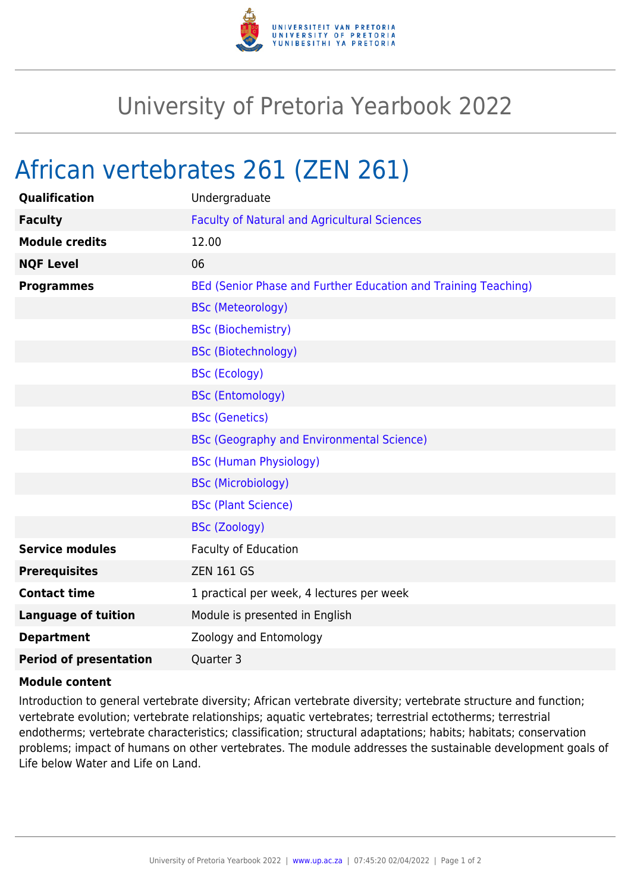

## University of Pretoria Yearbook 2022

## African vertebrates 261 (ZEN 261)

| Qualification                 | Undergraduate                                                  |
|-------------------------------|----------------------------------------------------------------|
| <b>Faculty</b>                | <b>Faculty of Natural and Agricultural Sciences</b>            |
| <b>Module credits</b>         | 12.00                                                          |
| <b>NQF Level</b>              | 06                                                             |
| <b>Programmes</b>             | BEd (Senior Phase and Further Education and Training Teaching) |
|                               | <b>BSc (Meteorology)</b>                                       |
|                               | <b>BSc (Biochemistry)</b>                                      |
|                               | <b>BSc (Biotechnology)</b>                                     |
|                               | <b>BSc (Ecology)</b>                                           |
|                               | <b>BSc (Entomology)</b>                                        |
|                               | <b>BSc (Genetics)</b>                                          |
|                               | <b>BSc (Geography and Environmental Science)</b>               |
|                               | <b>BSc (Human Physiology)</b>                                  |
|                               | <b>BSc (Microbiology)</b>                                      |
|                               | <b>BSc (Plant Science)</b>                                     |
|                               | <b>BSc (Zoology)</b>                                           |
| <b>Service modules</b>        | Faculty of Education                                           |
| <b>Prerequisites</b>          | <b>ZEN 161 GS</b>                                              |
| <b>Contact time</b>           | 1 practical per week, 4 lectures per week                      |
| <b>Language of tuition</b>    | Module is presented in English                                 |
| <b>Department</b>             | Zoology and Entomology                                         |
| <b>Period of presentation</b> | Quarter 3                                                      |
|                               |                                                                |

## **Module content**

Introduction to general vertebrate diversity; African vertebrate diversity; vertebrate structure and function; vertebrate evolution; vertebrate relationships; aquatic vertebrates; terrestrial ectotherms; terrestrial endotherms; vertebrate characteristics; classification; structural adaptations; habits; habitats; conservation problems; impact of humans on other vertebrates. The module addresses the sustainable development goals of Life below Water and Life on Land.